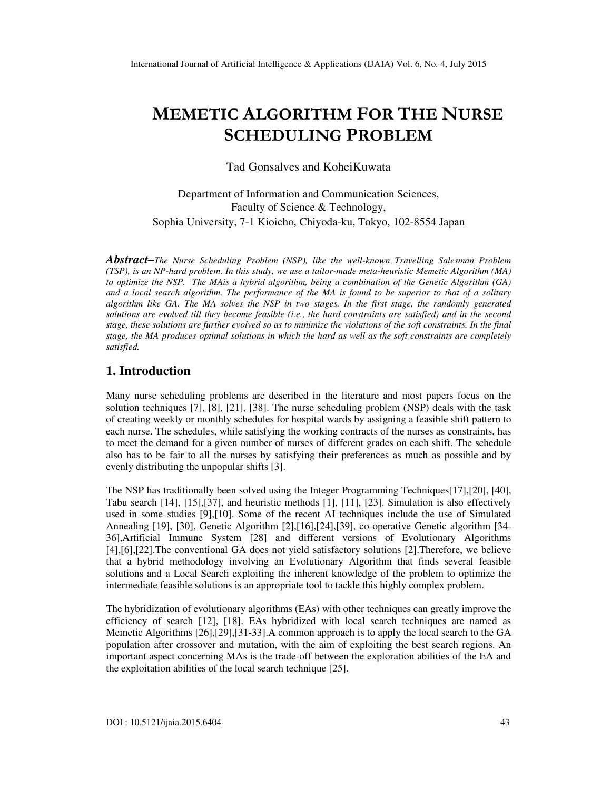# MEMETIC ALGORITHM FOR THE NURSE SCHEDULING PROBLEM

Tad Gonsalves and KoheiKuwata

Department of Information and Communication Sciences, Faculty of Science & Technology, Sophia University, 7-1 Kioicho, Chiyoda-ku, Tokyo, 102-8554 Japan

*Abstract–The Nurse Scheduling Problem (NSP), like the well-known Travelling Salesman Problem (TSP), is an NP-hard problem. In this study, we use a tailor-made meta-heuristic Memetic Algorithm (MA) to optimize the NSP. The MAis a hybrid algorithm, being a combination of the Genetic Algorithm (GA) and a local search algorithm. The performance of the MA is found to be superior to that of a solitary algorithm like GA. The MA solves the NSP in two stages. In the first stage, the randomly generated solutions are evolved till they become feasible (i.e., the hard constraints are satisfied) and in the second stage, these solutions are further evolved so as to minimize the violations of the soft constraints. In the final stage, the MA produces optimal solutions in which the hard as well as the soft constraints are completely satisfied.* 

# **1. Introduction**

Many nurse scheduling problems are described in the literature and most papers focus on the solution techniques [7], [8], [21], [38]. The nurse scheduling problem (NSP) deals with the task of creating weekly or monthly schedules for hospital wards by assigning a feasible shift pattern to each nurse. The schedules, while satisfying the working contracts of the nurses as constraints, has to meet the demand for a given number of nurses of different grades on each shift. The schedule also has to be fair to all the nurses by satisfying their preferences as much as possible and by evenly distributing the unpopular shifts [3].

The NSP has traditionally been solved using the Integer Programming Techniques[17],[20], [40], Tabu search [14], [15],[37], and heuristic methods [1], [11], [23]. Simulation is also effectively used in some studies [9],[10]. Some of the recent AI techniques include the use of Simulated Annealing [19], [30], Genetic Algorithm [2],[16],[24],[39], co-operative Genetic algorithm [34- 36],Artificial Immune System [28] and different versions of Evolutionary Algorithms [4],[6],[22].The conventional GA does not yield satisfactory solutions [2].Therefore, we believe that a hybrid methodology involving an Evolutionary Algorithm that finds several feasible solutions and a Local Search exploiting the inherent knowledge of the problem to optimize the intermediate feasible solutions is an appropriate tool to tackle this highly complex problem.

The hybridization of evolutionary algorithms (EAs) with other techniques can greatly improve the efficiency of search [12], [18]. EAs hybridized with local search techniques are named as Memetic Algorithms [26],[29],[31-33].A common approach is to apply the local search to the GA population after crossover and mutation, with the aim of exploiting the best search regions. An important aspect concerning MAs is the trade-off between the exploration abilities of the EA and the exploitation abilities of the local search technique [25].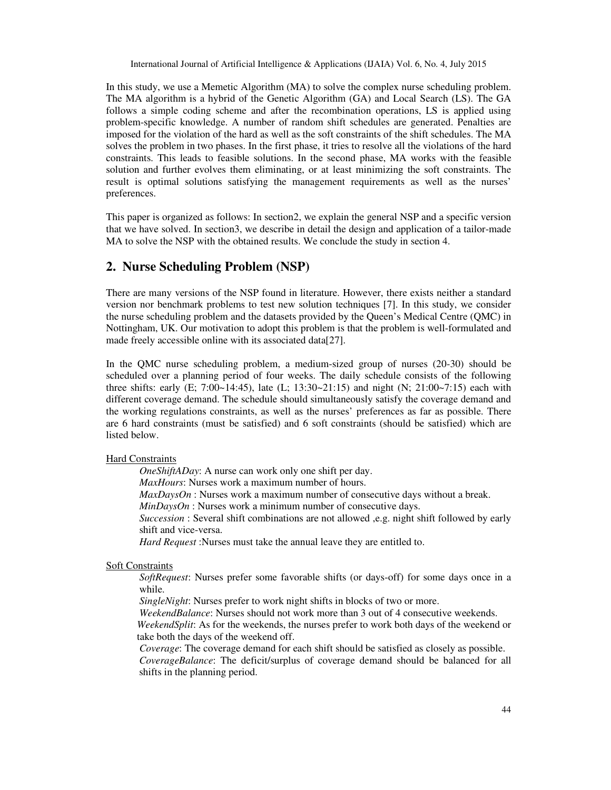In this study, we use a Memetic Algorithm (MA) to solve the complex nurse scheduling problem. The MA algorithm is a hybrid of the Genetic Algorithm (GA) and Local Search (LS). The GA follows a simple coding scheme and after the recombination operations, LS is applied using problem-specific knowledge. A number of random shift schedules are generated. Penalties are imposed for the violation of the hard as well as the soft constraints of the shift schedules. The MA solves the problem in two phases. In the first phase, it tries to resolve all the violations of the hard constraints. This leads to feasible solutions. In the second phase, MA works with the feasible solution and further evolves them eliminating, or at least minimizing the soft constraints. The result is optimal solutions satisfying the management requirements as well as the nurses' preferences.

This paper is organized as follows: In section2, we explain the general NSP and a specific version that we have solved. In section3, we describe in detail the design and application of a tailor-made MA to solve the NSP with the obtained results. We conclude the study in section 4.

# **2. Nurse Scheduling Problem (NSP)**

There are many versions of the NSP found in literature. However, there exists neither a standard version nor benchmark problems to test new solution techniques [7]. In this study, we consider the nurse scheduling problem and the datasets provided by the Queen's Medical Centre (QMC) in Nottingham, UK. Our motivation to adopt this problem is that the problem is well-formulated and made freely accessible online with its associated data[27].

In the QMC nurse scheduling problem, a medium-sized group of nurses (20-30) should be scheduled over a planning period of four weeks. The daily schedule consists of the following three shifts: early (E;  $7:00-14:45$ ), late (L;  $13:30-21:15$ ) and night (N;  $21:00-7:15$ ) each with different coverage demand. The schedule should simultaneously satisfy the coverage demand and the working regulations constraints, as well as the nurses' preferences as far as possible. There are 6 hard constraints (must be satisfied) and 6 soft constraints (should be satisfied) which are listed below.

### Hard Constraints

*OneShiftADay*: A nurse can work only one shift per day.

*MaxHours*: Nurses work a maximum number of hours.

*MaxDaysOn* : Nurses work a maximum number of consecutive days without a break.

*MinDaysOn* : Nurses work a minimum number of consecutive days.

*Succession* : Several shift combinations are not allowed ,e.g. night shift followed by early shift and vice-versa.

*Hard Request* :Nurses must take the annual leave they are entitled to.

### Soft Constraints

*SoftRequest*: Nurses prefer some favorable shifts (or days-off) for some days once in a while.

*SingleNight*: Nurses prefer to work night shifts in blocks of two or more.

*WeekendBalance*: Nurses should not work more than 3 out of 4 consecutive weekends.

*WeekendSplit*: As for the weekends, the nurses prefer to work both days of the weekend or take both the days of the weekend off.

*Coverage*: The coverage demand for each shift should be satisfied as closely as possible. *CoverageBalance*: The deficit/surplus of coverage demand should be balanced for all shifts in the planning period.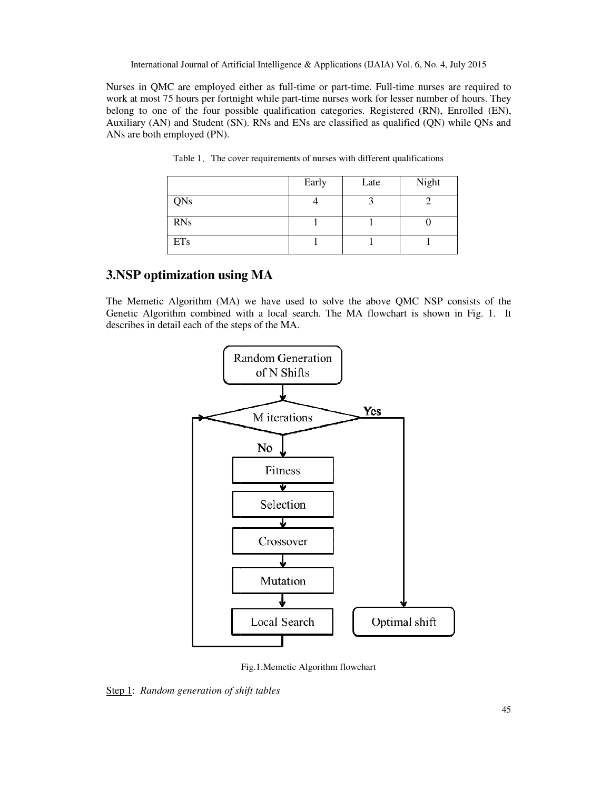Nurses in QMC are employed either as full-time or part-time. Full-time nurses are required to Nurses in QMC are employed either as full-time or part-time. Full-time nurses are required to work at most 75 hours per fortnight while part-time nurses work for lesser number of hours. They belong to one of the four possible qualification categories. Registered (RN), Enrolled (EN), Auxiliary (AN) and Student (SN). RNs and ENs are classified as qualified (QN) while QNs and ANs are both employed (PN).

|            | Early | Late | Night |
|------------|-------|------|-------|
| <b>QNs</b> | 4     | 3    | 2     |
| <b>RNs</b> | 1     |      | 0     |
| <b>ETs</b> | 1     |      |       |

Table 1. The cover requirements of nurses with different qualifications

# **3.NSP optimization using MA**

The Memetic Algorithm (MA) we have used to solve the above QMC NSP consists of the Genetic Algorithm combined with a local search. The MA flowchart is shown in Fig. 1. describes in detail each of the steps of the MA. (MA) we have used to solve the above QMC NSP consists of ned with a local search. The MA flowchart is shown in Fig. 1. the steps of the MA.



Fig.1.Memetic Algorithm flowchart

Step 1: *Random generation of shift tables*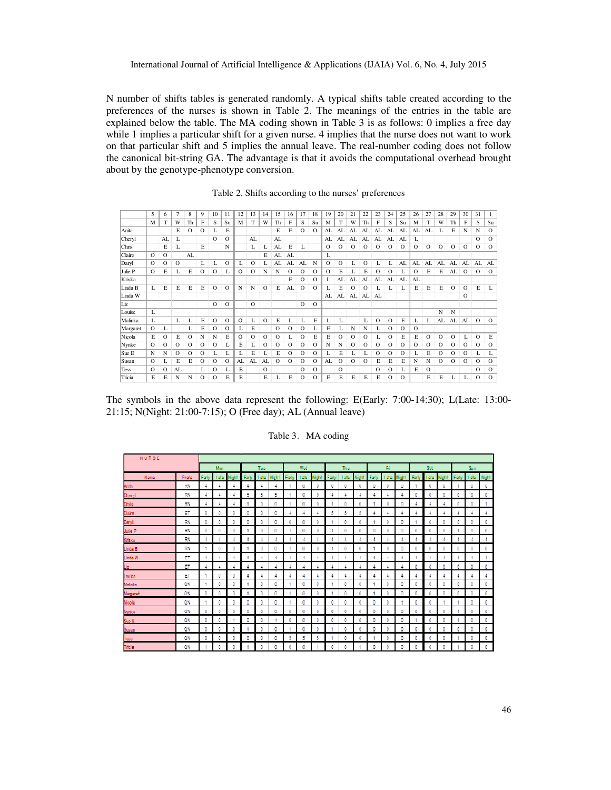N number of shifts tables is generated randomly. A typical shifts table created according to the preferences of the nurses is shown in Table 2. The meanings of the entries in the table are explained below the table. The MA coding shown in Table 3 is as follows: 0 implies a free day while 1 implies a particular shift for a given nurse. 4 implies that the nurse does not want to work while 1 implies a particular shift for a given nurse. 4 implies that the nurse does not want to work on that particular shift and 5 implies the annual leave. The real-number coding does not follow the canonical bit-string GA. The advantage is that it avoids the computational overhead about by the genotype-phenotype conversion. as follows: 0 implies a free day<br>the nurse does not want to work<br>number coding does not follow<br>computational overhead brought

Table 2. 2. Shifts according to the nurses' preferences

|          | 5        | 6        |    | 8       | 9        | 10       | 11       | 12      | 13      | 14       | 15       | 16       | 17       | 18       | 19       | 20       | 21       | 22      | 23      | 24       | 25      | 26      | 27       | 28      | 29       | 30       | 31       | 1        |
|----------|----------|----------|----|---------|----------|----------|----------|---------|---------|----------|----------|----------|----------|----------|----------|----------|----------|---------|---------|----------|---------|---------|----------|---------|----------|----------|----------|----------|
|          | M        | т        | W  | Th      | F        | S        | Su       | M       | T       | W        | Th       | F        | S        | Su       | M        | T        | W        | Th      | F       | S        | Su      | M       | T        | W       | Th       | F        | S        | Su       |
| Anita    |          |          | E  | о       | о        | L        | E        |         |         |          | E        | E        | $\circ$  | О        | AL       | AL       | AL       | AL.     | AL.     | AL       | AL      | AL      | AL       |         | Е        | N        | N        | $\Omega$ |
| Cheryl   |          | AL       | L  |         |          | $\circ$  | O        |         | AL      |          | AL       |          |          |          | AL       | AL       | AL       | AL      | AL      | AL       | AL      | L       |          |         |          |          | $\circ$  | $\Omega$ |
| Chris    |          | Е        | L  |         | E        |          | N        |         | L       | L        | AL       | Е        | L        |          | $\circ$  | О        | O        | O       | О       | О        | $\circ$ | $\circ$ | $\circ$  | $\circ$ | $\circ$  | $\circ$  | $\circ$  | $\Omega$ |
| Claire   | $\circ$  | $\Omega$ |    | AL      |          |          |          |         |         | E        | AL       | AL       |          |          | L        |          |          |         |         |          |         |         |          |         |          |          |          |          |
| Daryl    | O        | $\circ$  | О  |         | L        | L        | O        | L       | $\circ$ | L        | AL       | AL       | AL       | N        | $\Omega$ | О        | L        | $\circ$ | L       | L        | AL      | AL      | AL       | AL      | AL       | AL       | AL       | AL       |
| Julie P  | $\circ$  | Е        |    | E       | $\circ$  | О        | L        | $\circ$ | $\circ$ | N        | N        | $\Omega$ | $\circ$  | О        | $\circ$  | Е        |          | E       | О       | О        | L       | $\circ$ | E        | E       | AL       | $\circ$  | $\circ$  | $\Omega$ |
| Kriska   |          |          |    |         |          |          |          |         |         |          |          | Е        | O        | О        | L        | AL       | AL       | AL      | AL      | AL       | AL      | AL      |          |         |          |          |          |          |
| Linda B  | L        | E        | E  | E       | E        | $\circ$  | $\circ$  | N       | N       | O        | E        | AL       | $\circ$  | $\circ$  | L        | E        | О        | O       |         |          | L       | E       | E        | E       | $\circ$  | $\circ$  | Е        | L        |
| Linda W  |          |          |    |         |          |          |          |         |         |          |          |          |          |          | AL       | AL       | AL       | AL      | AL      |          |         |         |          |         |          | $\circ$  |          |          |
| Liz      |          |          |    |         |          | $\circ$  | $\circ$  |         | $\circ$ |          |          |          | $\Omega$ | $\circ$  |          |          |          |         |         |          |         |         |          |         |          |          |          |          |
| Louise   | L        |          |    |         |          |          |          |         |         |          |          |          |          |          |          |          |          |         |         |          |         |         |          | N       | N        |          |          |          |
| Malinka  | L        |          | L  | L       | Е        | О        | O        | $\circ$ | L       | о        | E        | L        | L        | Е        | L        | L        |          | L       | О       | О        | E       | L       | L        | AL      | AL       | AL       | $\circ$  | $\Omega$ |
| Margaret | $\circ$  | L        |    | L       | Е        | О        | O        | L       | Е       |          | О        | $\Omega$ | O        | L        | Е        | L        | N        | N       | L       | О        | $\circ$ | $\circ$ |          |         |          |          |          |          |
| Nicola   | Е        | O        | Е  | о       | N        | N        | E        | $\circ$ | $\circ$ | О        | $\Omega$ | L        | O        | Е        | E        | О        | O        | O       | L       | О        | E       | Е       | O        | O       | О        | L        | $\circ$  | Е        |
| Nynke    | $\Omega$ | $\circ$  | О  | О       | О        | О        | L        | Е       | L       | о        | О        | O        | $\circ$  | О        | N        | Ν        | О        | О       | О       | О        | $\circ$ | $\circ$ | O        | О       | О        | O        | $\Omega$ | $\Omega$ |
| Sue E    | N        | N        | O  | $\circ$ | O        | L        | L        | L       | Е       | L        | E        | $\Omega$ | $\circ$  | $\Omega$ | L        | Е        |          |         | $\circ$ | $\Omega$ | $\circ$ |         | E        | $\circ$ | $\Omega$ | $\Omega$ | L        | L        |
| Susan    | O        | L        | E  | E       | О        | $\Omega$ | $\Omega$ | AL      | AL      | AL       | $\Omega$ | $\Omega$ | $\circ$  | $\Omega$ | AL       | О        | $\Omega$ | O       | E       | E        | E       | N       | N        | $\circ$ | $\Omega$ | $\Omega$ | $\Omega$ | $\Omega$ |
| Tess     | $\Omega$ | O        | AL |         | L        | О        | L        | Е       |         | $\Omega$ |          |          | $\circ$  | $\Omega$ |          | $\Omega$ |          |         | О       | $\Omega$ | L       | Е       | $\Omega$ |         |          |          | $\Omega$ | $\Omega$ |
| Tricia   | Е        | E        | N  | N       | $\Omega$ | $\Omega$ | E        | Е       |         | E        | L        | Е        | $\circ$  | $\circ$  | E        | Е        | E        | E       | E       | $\Omega$ | $\circ$ |         | E        | E       | L        | L        | $\Omega$ | $\Omega$ |

The symbols in the above data represent the following: E(Early: 7:00-14:30); L(Late: 13:00-21:15; N(Night: 21:00-7:15); O (Free day); AL (Annual leave) );

|                |           |                      | <b>Mon</b>           |               |            | Tue   |               |               | Wed   |                |        | Thu         |               |       | Γń             |        |       | <b>Sat</b>    |              |       | Sun.  |               |
|----------------|-----------|----------------------|----------------------|---------------|------------|-------|---------------|---------------|-------|----------------|--------|-------------|---------------|-------|----------------|--------|-------|---------------|--------------|-------|-------|---------------|
| <b>Name</b>    | Grain     | Early                | Late :               | Night         | Early      | Late: | <b>Night</b>  | Early         | Late: | Might          | Early: | <b>Lute</b> | Nisht.        | Early | Late           | Night. | Early | Late          | <b>Night</b> | Early | Late: | <b>Night</b>  |
| Arita          | RN        | $\ddot{\ddot{\tau}}$ | $\ddot{\ddot{\tau}}$ | $\frac{4}{3}$ | $\ddot{+}$ | 4     | 4             | ۹             | о     | 0.             | 0      | 0           | ۰             | ٥     | 0              | ٥      |       | o             | 0            |       | 0.    | 0.            |
| Cheryl         | RN        | 4                    | 4                    | A             | 5          | 5     | 5             |               | 0     | 0.             | 4      | A           | 4             | 4     | A              | 4      | 0     | 0             | 0            | 0     | 0.    | 0             |
| Chris:         | RN        | ÷                    | 4                    | 4             |            | 0.    | ٥             |               | 0     | û.             |        | ٥           | ٥             |       | O.             | ٥      | 4     | 4             | 4            | ٥     | Ω.    | ×,            |
| Qaire          | ET        | o                    | ٠                    | n             | a.         | o.    | o             | $\frac{4}{3}$ | 4     | $\overline{4}$ | 8      | 8           | 5             | 4     | $\overline{4}$ | 4      | 4     | 4             | $\ddot{+}$   | 4     | 4     | 4             |
| Juryll         | EN        | л.                   | 0.                   | 0             | 0.         | 0.    | о             | 0.            | O     | 0.             |        | n           | 0             |       | 0.             | 0      |       | 0.            | 0.           | 0     | 0.    | 0.            |
| lulio P        | <b>RM</b> | -0                   | Ω.                   | 0             | и          | 0.    | ۰             | л.            | о     | θ.             |        | ۰           | 0             | o     | o              | ٥      | 0     | o             | θ.           |       | Ω.    | 0.            |
| Giska          | <b>IN</b> | ÷                    | A                    | A             | 4          |       | 4             | A             | A,    | A              |        | A           | A             | 4     | A              | 4.     | A     | A             |              | ÷     | A.    | ÷             |
| Limda: B       | RIN       |                      |                      | 0             |            | 0.    | ٥             |               | 0     | 0.             |        | Ō           | O             |       | 0.             | ٥      | 0     | 0             | 0.           | 0     | 0.    | 0.            |
| linda W        | FT.       | 4                    | 4                    | 4             | $\ddot{+}$ | 4     | $\frac{4}{3}$ | 4             | 4     | $\overline{4}$ | 4      | 4           | $\frac{4}{3}$ | 4     | $\overline{4}$ | 4      | 4     | $\frac{4}{3}$ | 4            | 4     | 4     | $\frac{4}{3}$ |
| IZ.            | ET        | 4                    |                      |               | 4          |       | 4             |               | A     | 4              |        |             | 4             | ÷     | ÷              | 4.     | ō     | O             | 0            | ō     | θ.    | ٥             |
| eauol          | EТ        |                      | ٥                    | 0             | A.         | A     | 4             | 4.            | ă.    | ă.             | 4      | é           | 4             | ÷     | ÷              | 4.     | ă,    | A,            | A.           | ٠     | A.    | ÷.            |
| <b>Aalinka</b> | ON        | -1                   | 0.                   | 0.            | 4          | ο.    | ۰             | 4.            | 0     | 0.             |        | ٥           | ٥             |       | 9              | 0.     | 0     | 0             | θ.           | ۰     | Ω.    | ο.            |
| wargaret:      | ON        | o                    | л                    | o             |            | û     | ٥             |               | O     | ß.             |        | ß           | o             |       | 0              | ٥      | D     | o             | ø            | o     | ٥     | 0.            |
| Visala         | ΩN        |                      | n                    | n             | o          | o.    | n             |               | n     | n.             | 0      | ρ           | n             | o     | n              | ٠      | 0     | n             |              |       | Ω.    | 0             |
| Vurrikie       | ON        | O.                   | ο.                   | O.            | ۰          | Ω.    | O             | 0.            | O     | Ω.             | ۰      | O.          | O.            | Ω.    | O.             | o      | 0     | D.            | O.           |       | Ω.    | ο.            |
| Saa Fi         | ON        | ٥                    | ٥                    | ×             | 0          | 0     | 4             | ٥             | 0     | 0.             | 0      | ū           | 0             | 0.    | 0.             | Ō.     |       | 0             | û            |       | ٥     | 0.            |

#### Table 3.MA coding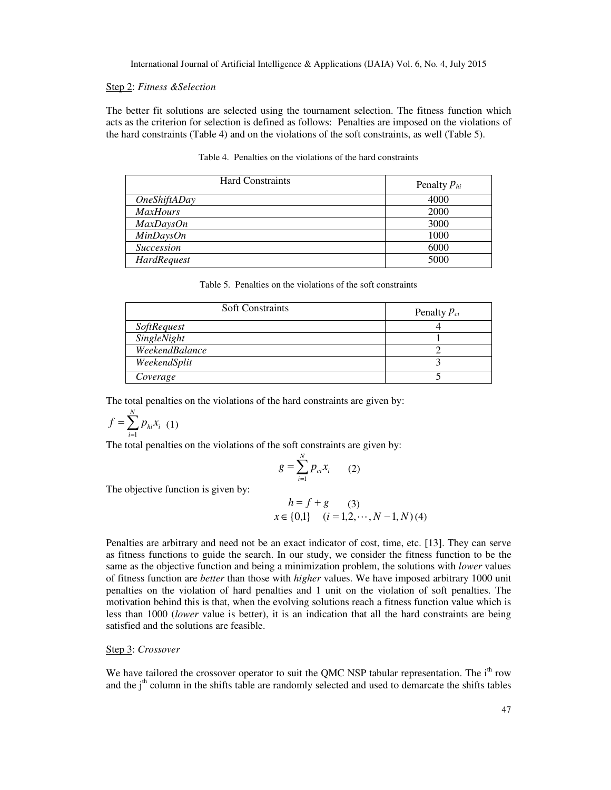#### Step 2: *Fitness &Selection*

The better fit solutions are selected using the tournament selection. The fitness function which acts as the criterion for selection is defined as follows: Penalties are imposed on the violations of the hard constraints (Table 4) and on the violations of the soft constraints, as well (Table 5).

| <b>Hard Constraints</b>    | Penalty $P_{hi}$ |
|----------------------------|------------------|
| <i><b>OneShiftADay</b></i> | 4000             |
| <b>MaxHours</b>            | 2000             |
| MaxDaysOn                  | 3000             |
| MinDavisOn                 | 1000             |
| <b>Succession</b>          | 6000             |
| HardRequest                | 5000             |

Table 4. Penalties on the violations of the hard constraints

|  |  | Table 5. Penalties on the violations of the soft constraints |  |  |
|--|--|--------------------------------------------------------------|--|--|
|--|--|--------------------------------------------------------------|--|--|

| <b>Soft Constraints</b> | Penalty $P_{ci}$ |
|-------------------------|------------------|
| <b>SoftRequest</b>      |                  |
| SingleNight             |                  |
| WeekendBalance          |                  |
| WeekendSplit            |                  |
| Coverage                |                  |

The total penalties on the violations of the hard constraints are given by:

$$
f = \sum_{i=1}^{N} p_{hi} x_i \ (1)
$$

The total penalties on the violations of the soft constraints are given by:

$$
g = \sum_{i=1}^{N} p_{ci} x_i \qquad (2)
$$

The objective function is given by:

$$
h = f + g
$$
 (3)  

$$
x \in \{0,1\}
$$
  $(i = 1,2,\dots,N-1,N)$  (4)

Penalties are arbitrary and need not be an exact indicator of cost, time, etc. [13]. They can serve as fitness functions to guide the search. In our study, we consider the fitness function to be the same as the objective function and being a minimization problem, the solutions with *lower* values of fitness function are *better* than those with *higher* values. We have imposed arbitrary 1000 unit penalties on the violation of hard penalties and 1 unit on the violation of soft penalties. The motivation behind this is that, when the evolving solutions reach a fitness function value which is less than 1000 (*lower* value is better), it is an indication that all the hard constraints are being satisfied and the solutions are feasible.

#### Step 3: *Crossover*

We have tailored the crossover operator to suit the QMC NSP tabular representation. The  $i<sup>th</sup>$  row and the  $j<sup>th</sup>$  column in the shifts table are randomly selected and used to demarcate the shifts tables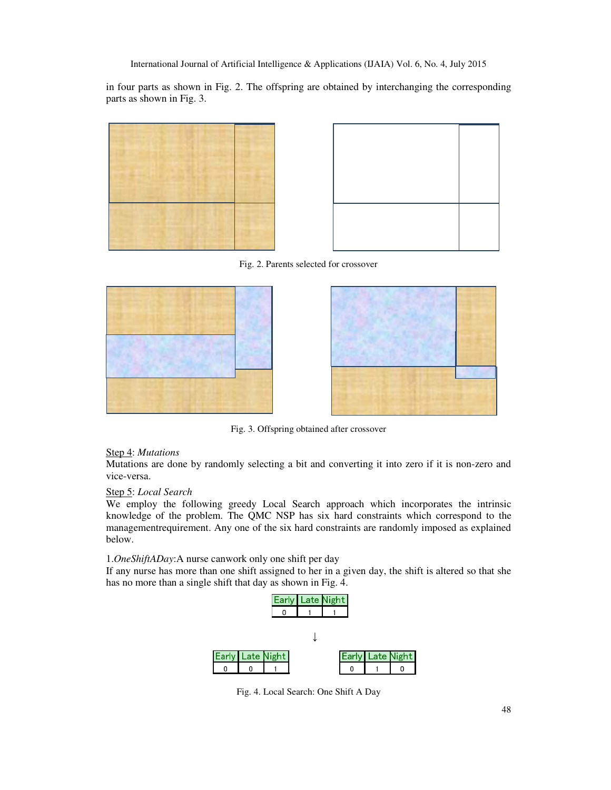in four parts as shown in Fig. 2. The offspring are obtained by interchanging the corresponding parts as shown in Fig. 3.





Fig. 2. Parents selected for crossover





Fig. 3. Offspring obtained after crossover

### Step 4: *Mutations*

Mutations are done by randomly selecting a bit and converting it into zero if it is non-zero and vice-versa.

### Step 5: *Local Search*

We employ the following greedy Local Search approach which incorporates the intrinsic knowledge of the problem. The QMC NSP has six hard constraints which correspond to the managementrequirement. Any one of the six hard constraints are randomly imposed as explained below.

1.*OneShiftADay*:A nurse canwork only one shift per day

If any nurse has more than one shift assigned to her in a given day, the shift is altered so that she has no more than a single shift that day as shown in Fig. 4.



Fig. 4. Local Search: One Shift A Day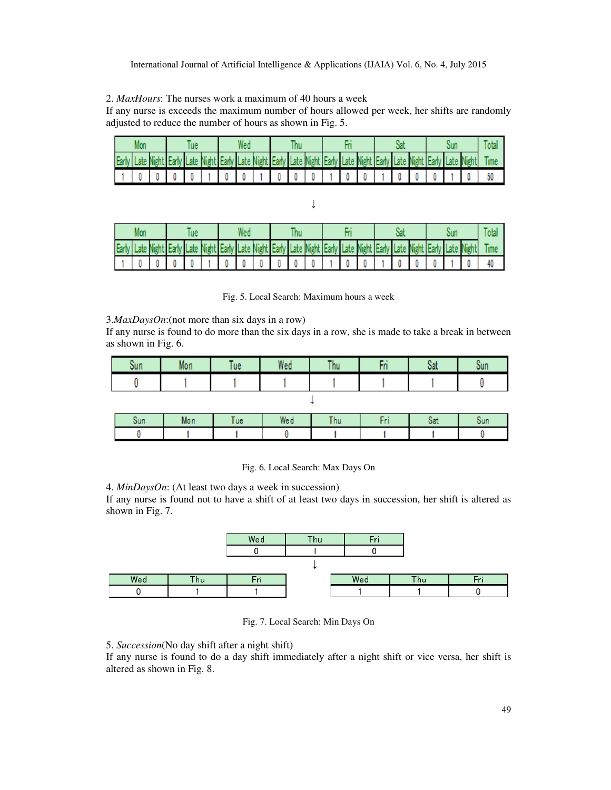2. *MaxHours*: The nurses work a maximum of 40 hours a week

If any nurse is exceeds the maximum number of hours allowed per week, her shifts are randomly adjusted to reduce the number of hours as shown in Fig. 5.

| Early Late Night Early Late Night Early Late Night Early Late Night Early Late Night Early Late Night Early Late Night |  |  |  |                                   |  |  |  |  |  |  |  |    |
|------------------------------------------------------------------------------------------------------------------------|--|--|--|-----------------------------------|--|--|--|--|--|--|--|----|
|                                                                                                                        |  |  |  | 0 1 0 0 1 0 0 0 0 1 0 0 0 1 0 0 1 |  |  |  |  |  |  |  | 50 |

 $\downarrow$ 

| Early Late Night Early Late Night Early Late Night Early Late Night Early Late Night Early Late Night Early Late Night |  |  |  |        |  |  |  |  |  |  |  |  |
|------------------------------------------------------------------------------------------------------------------------|--|--|--|--------|--|--|--|--|--|--|--|--|
|                                                                                                                        |  |  |  | 000000 |  |  |  |  |  |  |  |  |

Fig. 5. Local Search: Maximum hours a week

3.*MaxDaysOn*:(not more than six days in a row)

If any nurse is found to do more than the six days in a row, she is made to take a break in between as shown in Fig. 6.

| oun | Mon | l ue | Wed | Thu | . | <b>CAL</b><br>val | Sun |
|-----|-----|------|-----|-----|---|-------------------|-----|
|     |     |      |     |     |   |                   |     |
|     |     |      |     |     |   |                   |     |

| Sun | Mon | <b>ue</b> | Wed | hu | val | Sun |
|-----|-----|-----------|-----|----|-----|-----|
|     |     |           |     |    |     |     |

Fig. 6. Local Search: Max Days On

4. *MinDaysOn*: (At least two days a week in succession)

If any nurse is found not to have a shift of at least two days in succession, her shift is altered as shown in Fig. 7.



Fig. 7. Local Search: Min Days On

5. *Succession*(No day shift after a night shift)

If any nurse is found to do a day shift immediately after a night shift or vice versa, her shift is altered as shown in Fig. 8.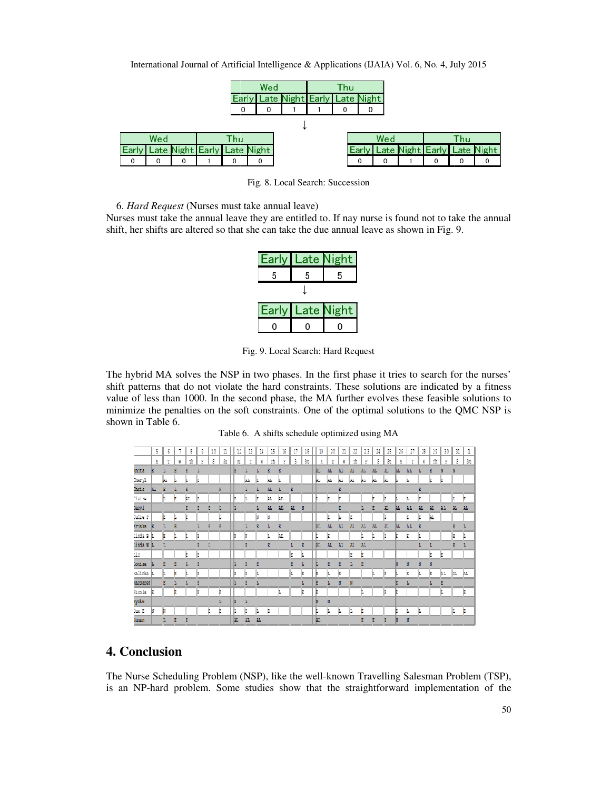| International Journal of Artificial Intelligence & Applications (IJAIA) Vol. 6, No. 4, July 2015 |  |  |
|--------------------------------------------------------------------------------------------------|--|--|
|                                                                                                  |  |  |

|   |     |  |              | Wed                               |                             | Thu |       |     |   |     |                             |
|---|-----|--|--------------|-----------------------------------|-----------------------------|-----|-------|-----|---|-----|-----------------------------|
|   |     |  | <b>Larly</b> |                                   | Late Night Early Late Night |     |       |     |   |     |                             |
|   |     |  | 0            |                                   |                             |     |       |     |   |     |                             |
|   |     |  |              |                                   |                             |     |       |     |   |     |                             |
|   | Wed |  | Thu          |                                   |                             |     |       | Wed |   | Thu |                             |
|   |     |  |              | Early Late Night Early Late Night |                             |     | Earlv |     |   |     | Late Night Early Late Night |
| o |     |  |              |                                   |                             |     |       | 0   | 0 |     |                             |

Fig. 8. Local Search: Succession

6. *Hard Request* (Nurses must take annual leave)

Nurses must take the annual leave they are entitled to. If nay nurse is found not to take the annual shift, her shifts are altered so that she can take the due annual leave as shown in Fig. 9. shift, her shifts are altered so that she can take the due annual leave as shown in Fig.

|       | Early   Late Night |                   |
|-------|--------------------|-------------------|
| 5     | 5                  | 5                 |
|       |                    |                   |
| Early |                    | <b>Late Night</b> |
|       |                    |                   |

Fig. 9. Local Search: Hard Request

The hybrid MA solves the NSP in two phases. In the first phase it tries to search for the nurses' The hybrid MA solves the NSP in two phases. In the first phase it tries to search for the nurses' shift patterns that do not violate the hard constraints. These solutions are indicated by a fitness value of less than 1000. In the second phase, the MA further evolves these feasible solutions to minimize the penalties on the soft constraints. One of the optimal solutions to the QMC NSP is shown in Table 6.

|           |    |     |   |    |   |    | Table 6. A shifts schedule optimized using MA |    |    |   |    |    |    |    |    |    |     |     |     |     |    |    |     |             |     |     |     |      |  |
|-----------|----|-----|---|----|---|----|-----------------------------------------------|----|----|---|----|----|----|----|----|----|-----|-----|-----|-----|----|----|-----|-------------|-----|-----|-----|------|--|
|           | 5  | 6   |   | 8  |   | 10 | ı                                             | 12 | в  |   | 15 | 16 | Π  | 18 | 19 | 20 | 21  | 22  | 23  | 25  | 25 | 26 | 27  | $\mathbb Z$ | 29  | 30  | 3L. | ı    |  |
|           |    |     | ĸ | Ť. |   | Ŝ. | $20$                                          | K  | T  |   | ŵ  | Ξ  | Š. | Sm | к  | T  |     | Th  |     | Ŝ.  | Ś1 |    |     |             | τĎ, | Ŧ   | s   | S.   |  |
| mita      |    |     |   |    |   |    |                                               | Е  |    |   |    |    |    |    | ш  | м  | Mτ. | ж   | аĿ  | AT. | ж  |    | āЬ  |             |     |     |     |      |  |
| "heryl    |    | BL. |   |    | z |    |                                               |    | M. | E | ы. | E  |    |    | h. | M. | h.  | ĿЕ. | ħL  | HL. | H. |    |     |             | E   | E   |     |      |  |
| mris      | BЪ |     |   |    |   |    | N                                             |    |    |   | м. | Б  | R  |    |    |    |     |     |     |     |    |    |     | Е           |     |     |     |      |  |
| "laire    |    |     |   | M. | E |    |                                               | E  | L  | E | M. | ш. |    |    |    | z  |     |     |     | E   | E  |    |     | E           |     |     | n.  | Е    |  |
| tary I    |    |     |   |    |   | E  | L                                             |    |    |   | м. | M. | Ж. | N  |    |    |     |     | ı.  |     | ж  |    | ΔL  | ш           | м.  | ÃĿ. | ш.  | - AL |  |
| antie P   |    |     |   |    |   |    |                                               |    |    |   |    |    |    |    |    | ž  |     | þ   |     |     |    |    |     |             | м   |     |     |      |  |
| kriska.   |    |     |   |    |   |    |                                               |    | L  |   |    | B  |    |    | ш  | ж  | ы.  | ж   | ЪL. | ш   |    |    | ЪL. |             |     |     | Е   | L    |  |
| Linda B   |    |     |   |    | E |    |                                               | N  | N  |   |    | 缸  |    |    |    | R  |     |     |     | r.  |    |    | E.  |             |     |     | E   | L    |  |
| Anda K I  |    |     |   |    |   |    |                                               |    |    |   |    |    |    | z  | л  | М. | Ы.  | Ж   | Al. |     |    |    |     |             | Ŀ   |     | в   | T.   |  |
| LLZ.      |    |     |   |    | E |    |                                               |    |    |   |    |    | E  | ū. |    |    |     | Ξ   |     |     |    |    |     |             | E   | E   |     |      |  |
| Comise.   |    | в   |   |    |   |    |                                               | L  | E  | в |    |    | R  | Ŀ  |    | к  |     | т.  |     |     |    |    |     |             | N   |     |     |      |  |
| Kalinka   |    |     |   |    | E |    |                                               | Þ  | k  |   |    |    | Ŀ  |    | E  |    |     |     |     | ŀ.  | Ξ  |    |     |             |     | hь  | ĿЬ. | h L  |  |
| kang aret |    |     |   |    |   |    |                                               | L  | в  | L |    |    |    | ı  | E  |    |     |     |     |     |    |    | L   |             | Ŀ   |     |     |      |  |
| sicola.   |    |     |   |    |   |    | Е                                             |    |    |   |    |    |    | E  | E  |    |     |     |     |     | B  |    |     |             |     |     |     | Е    |  |
| Wake      |    |     |   |    |   |    |                                               | E  | T. |   |    |    |    |    | ×  | N  |     |     |     |     |    |    |     |             |     |     |     |      |  |
| Sme B     |    | B   |   |    |   | E  | Е                                             | Þ  | B  | L |    |    |    |    | Þ  | Ŀ  |     | II. |     |     |    |    | L   | J.          |     |     | L   | . P  |  |
| facsa o   |    | L.  |   |    |   |    |                                               | ш  | M. | М |    |    |    |    | Ш  |    |     |     |     |     |    |    | N   |             |     |     |     |      |  |

# **4. Conclusion**

The Nurse Scheduling Problem (NSP), like the well-known Travelling Salesman Problem (TSP) is an NP-hard problem. Some studies show that the straightforward implementation of the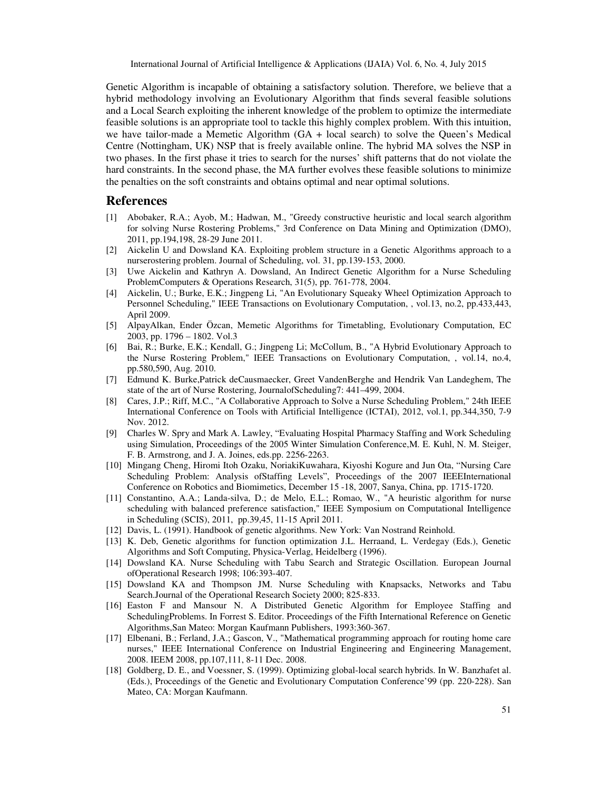Genetic Algorithm is incapable of obtaining a satisfactory solution. Therefore, we believe that a hybrid methodology involving an Evolutionary Algorithm that finds several feasible solutions and a Local Search exploiting the inherent knowledge of the problem to optimize the intermediate feasible solutions is an appropriate tool to tackle this highly complex problem. With this intuition, we have tailor-made a Memetic Algorithm (GA + local search) to solve the Queen's Medical Centre (Nottingham, UK) NSP that is freely available online. The hybrid MA solves the NSP in two phases. In the first phase it tries to search for the nurses' shift patterns that do not violate the hard constraints. In the second phase, the MA further evolves these feasible solutions to minimize the penalties on the soft constraints and obtains optimal and near optimal solutions.

## **References**

- [1] Abobaker, R.A.; Ayob, M.; Hadwan, M., "Greedy constructive heuristic and local search algorithm for solving Nurse Rostering Problems," 3rd Conference on Data Mining and Optimization (DMO), 2011, pp.194,198, 28-29 June 2011.
- [2] Aickelin U and Dowsland KA. Exploiting problem structure in a Genetic Algorithms approach to a nurserostering problem. Journal of Scheduling, vol. 31, pp.139-153, 2000.
- [3] Uwe Aickelin and Kathryn A. Dowsland, An Indirect Genetic Algorithm for a Nurse Scheduling ProblemComputers & Operations Research, 31(5), pp. 761-778, 2004.
- [4] Aickelin, U.; Burke, E.K.; Jingpeng Li, "An Evolutionary Squeaky Wheel Optimization Approach to Personnel Scheduling," IEEE Transactions on Evolutionary Computation, , vol.13, no.2, pp.433,443, April 2009.
- [5] AlpayAlkan, Ender Özcan, Memetic Algorithms for Timetabling, Evolutionary Computation, EC 2003, pp. 1796 – 1802. Vol.3
- [6] Bai, R.; Burke, E.K.; Kendall, G.; Jingpeng Li; McCollum, B., "A Hybrid Evolutionary Approach to the Nurse Rostering Problem," IEEE Transactions on Evolutionary Computation, , vol.14, no.4, pp.580,590, Aug. 2010.
- [7] Edmund K. Burke,Patrick deCausmaecker, Greet VandenBerghe and Hendrik Van Landeghem, The state of the art of Nurse Rostering, JournalofScheduling7: 441–499, 2004.
- [8] Cares, J.P.; Riff, M.C., "A Collaborative Approach to Solve a Nurse Scheduling Problem," 24th IEEE International Conference on Tools with Artificial Intelligence (ICTAI), 2012, vol.1, pp.344,350, 7-9 Nov. 2012.
- [9] Charles W. Spry and Mark A. Lawley, "Evaluating Hospital Pharmacy Staffing and Work Scheduling using Simulation, Proceedings of the 2005 Winter Simulation Conference,M. E. Kuhl, N. M. Steiger, F. B. Armstrong, and J. A. Joines, eds.pp. 2256-2263.
- [10] Mingang Cheng, Hiromi Itoh Ozaku, NoriakiKuwahara, Kiyoshi Kogure and Jun Ota, "Nursing Care Scheduling Problem: Analysis ofStaffing Levels", Proceedings of the 2007 IEEEInternational Conference on Robotics and Biomimetics, December 15 -18, 2007, Sanya, China, pp. 1715-1720.
- [11] Constantino, A.A.; Landa-silva, D.; de Melo, E.L.; Romao, W., "A heuristic algorithm for nurse scheduling with balanced preference satisfaction," IEEE Symposium on Computational Intelligence in Scheduling (SCIS), 2011, pp.39,45, 11-15 April 2011.
- [12] Davis, L. (1991). Handbook of genetic algorithms. New York: Van Nostrand Reinhold.
- [13] K. Deb, Genetic algorithms for function optimization J.L. Herraand, L. Verdegay (Eds.), Genetic Algorithms and Soft Computing, Physica-Verlag, Heidelberg (1996).
- [14] Dowsland KA. Nurse Scheduling with Tabu Search and Strategic Oscillation. European Journal ofOperational Research 1998; 106:393-407.
- [15] Dowsland KA and Thompson JM. Nurse Scheduling with Knapsacks, Networks and Tabu Search.Journal of the Operational Research Society 2000; 825-833.
- [16] Easton F and Mansour N. A Distributed Genetic Algorithm for Employee Staffing and SchedulingProblems. In Forrest S. Editor. Proceedings of the Fifth International Reference on Genetic Algorithms,San Mateo: Morgan Kaufmann Publishers, 1993:360-367.
- [17] Elbenani, B.; Ferland, J.A.; Gascon, V., "Mathematical programming approach for routing home care nurses," IEEE International Conference on Industrial Engineering and Engineering Management, 2008. IEEM 2008, pp.107,111, 8-11 Dec. 2008.
- [18] Goldberg, D. E., and Voessner, S. (1999). Optimizing global-local search hybrids. In W. Banzhafet al. (Eds.), Proceedings of the Genetic and Evolutionary Computation Conference'99 (pp. 220-228). San Mateo, CA: Morgan Kaufmann.